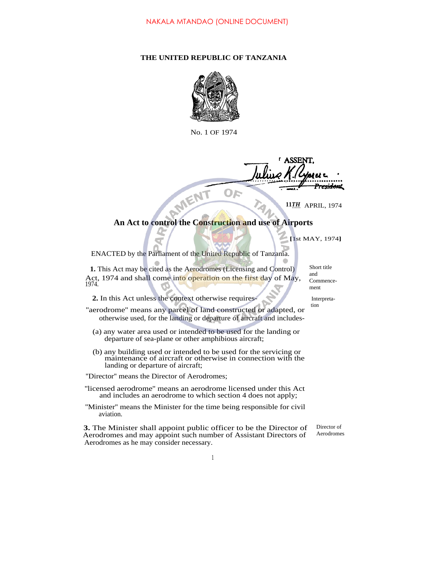## **THE UNITED REPUBLIC OF TANZANIA**



No. 1 OF 1974

ASSE MEN OF

APRIL, 1974 **11***TH*

## **An Act to control the Construction and use of Airports**

**[**1st MAY, 1974**]**

ENACTED by the Parliament of the United Republic of Tanzania.

**1.** This Act may be cited as the Aerodromes (Licensing and Control) Act, 1974 and shall come into operation on the first day of May, 1974.

**2.** In this Act unless the context otherwise requires- Interpreta-

- ''aerodrome'' means any parcel of land constructed or adapted, or otherwise used, for the landing or departure of aircraft and includes-
	- (a) any water area used or intended to be used for the landing or departure of sea-plane or other amphibious aircraft;
	- (b) any building used or intended to be used for the servicing or maintenance of aircraft or otherwise in connection with the landing or departure of aircraft;
- ''Director'' means the Director of Aerodromes;
- ''licensed aerodrome'' means an aerodrome licensed under this Act and includes an aerodrome to which section 4 does not apply;
- ''Minister'' means the Minister for the time being responsible for civil aviation.

**3.** The Minister shall appoint public officer to be the Director of Aerodromes and may appoint such number of Assistant Directors of Aerodromes as he may consider necessary.

Short title and Commencement

tion

Director of Aerodromes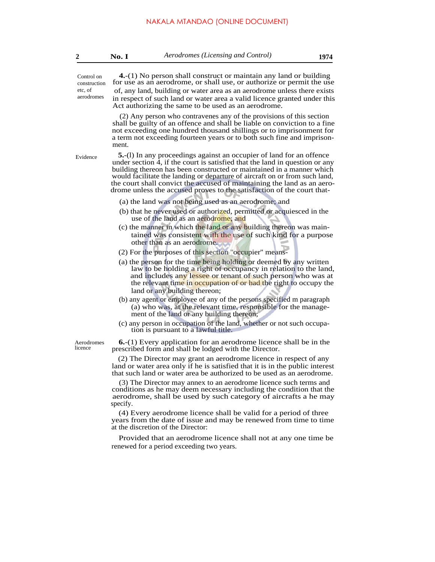| Aerodromes (Licensing and Control)<br>No. I | 1974 |
|---------------------------------------------|------|
|---------------------------------------------|------|

**4.**-(1) No person shall construct or maintain any land or building for use as an aerodrome, or shall use, or authorize or permit the use of, any land, building or water area as an aerodrome unless there exists in respect of such land or water area a valid licence granted under this Act authorizing the same to be used as an aerodrome. (2) Any person who contravenes any of the provisions of this section shall be guilty of an offence and shall be liable on conviction to a fine not exceeding one hundred thousand shillings or to imprisonment for a term not exceeding fourteen years or to both such fine and imprisonment. **5.**-(l) In any proceedings against an occupier of land for an offence under section 4, if the court is satisfied that the land in question or any building thereon has been constructed or maintained in a manner which would facilitate the landing or departure of aircraft on or from such land, the court shall convict the accused of maintaining the land as an aerodrome unless the accused proves to the satisfaction of the court that-Evidence (a) the land was not being used as an aerodrome; and (b) that he never used or authorized, permitted or acquiesced in the use of the land as an aerodrome; and (c) the manner in which the land or any building thereon was maintained was consistent with the use of such kind for a purpose other than as an aerodrome. (2) For the purposes of this section ''occupier'' means- (a) the person for the time being holding or deemed by any written law to be holding a right of occupancy in relation to the land, and includes any lessee or tenant of such person who was at the relevant time in occupation of or had the right to occupy the land or any building thereon; (b) any agent or employee of any of the persons specified m paragraph (a) who was, at the relevant time, responsible for the management of the land or any building thereon; (c) any person in occupation of the land, whether or not such occupation is pursuant to a lawful title. **6.**-(1) Every application for an aerodrome licence shall be in the prescribed form and shall be lodged with the Director. Aerodromes licence (2) The Director may grant an aerodrome licence in respect of any land or water area only if he is satisfied that it is in the public interest that such land or water area be authorized to be used as an aerodrome. (3) The Director may annex to an aerodrome licence such terms and conditions as he may deem necessary including the condition that the Control on construction etc, of aerodromes

aerodrome, shall be used by such category of aircrafts a he may specify. (4) Every aerodrome licence shall be valid for a period of three

years from the date of issue and may be renewed from time to time at the discretion of the Director:

Provided that an aerodrome licence shall not at any one time be renewed for a period exceeding two years.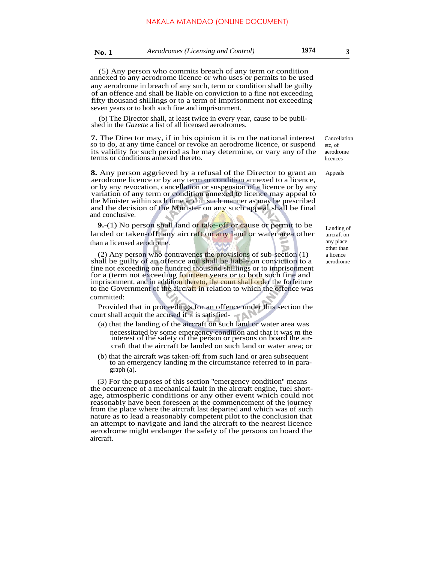**No. 1** *Aerodromes (Licensing and Control)* **1974 <sup>3</sup>**

(5) Any person who commits breach of any term or condition annexed to any aerodrome licence or who uses or permits to be used any aerodrome in breach of any such, term or condition shall be guilty of an offence and shall be liable on conviction to a fine not exceeding fifty thousand shillings or to a term of imprisonment not exceeding seven years or to both such fine and imprisonment.

(b) The Director shall, at least twice in every year, cause to be published in the *Gazette* a list of all licensed aerodromes.

**7.** The Director may, if in his opinion it is m the national interest so to do, at any time cancel or revoke an aerodrome licence, or suspend its validity for such period as he may determine, or vary any of the terms or conditions annexed thereto.

**8.** Any person aggrieved by a refusal of the Director to grant an aerodrome licence or by any term or condition annexed to a licence, or by any revocation, cancellation or suspension of a licence or by any variation of any term or condition annexed to licence may appeal to the Minister within such time and in such manner as may be prescribed and the decision of the Minister on any such appeal shall be final and conclusive.

**9.**-(1) No person shall land or take-off or cause or permit to be landed or taken-off, any aircraft on any land or water area other than a licensed aerodrome.

(2) Any person who contravenes the provisions of sub-section (1) shall be guilty of an offence and shall be liable on conviction to a fine not exceeding one hundred thousand shillings or to imprisonment for a (term not exceeding fourteen years or to both such fine and imprisonment, and in addition thereto, the court shall order the forfeiture to the Government of the aircraft in relation to which the offence was committed:

Provided that in proceedings for an offence under this section the court shall acquit the accused if it is satisfied- D

- (a) that the landing of the aircraft on such land or water area was necessitated by some emergency condition and that it was m the interest of the safety of the person or persons on board the aircraft that the aircraft be landed on such land or water area; or
- (b) that the aircraft was taken-off from such land or area subsequent to an emergency landing m the circumstance referred to in paragraph (a).

(3) For the purposes of this section ''emergency condition'' means the occurrence of a mechanical fault in the aircraft engine, fuel shortage, atmospheric conditions or any other event which could not reasonably have been foreseen at the commencement of the journey from the place where the aircraft last departed and which was of such nature as to lead a reasonably competent pilot to the conclusion that an attempt to navigate and land the aircraft to the nearest licence aerodrome might endanger the safety of the persons on board the aircraft.

Cancellation etc, of aerodrome licences

Appeals

Landing of aircraft on any place other than a licence aerodrome